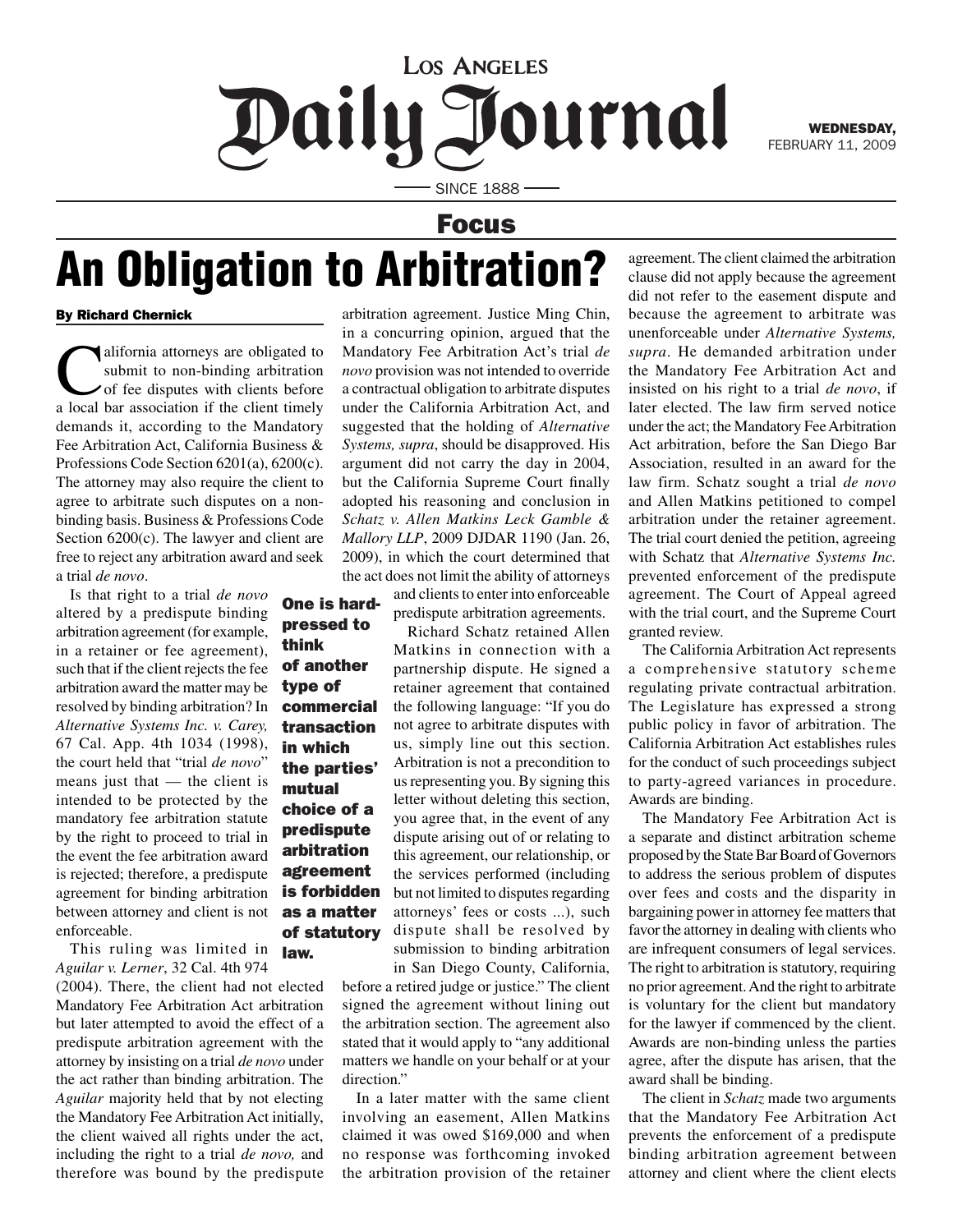## **LOS ANGELES** Daily Journal

WEDNESDAY, FEBRUARY 11, 2009

**SINCE 1888 -**

## Focus

## An Obligation to Arbitration?

pressed to

think of another type of commercial transaction in which the parties' mutual choice of a predispute arbitration agreement is forbidden as a matter of statutory

## By Richard Chernick

alifornia attorneys are obligated to submit to non-binding arbitration of fee disputes with clients before a local bar association if the client timely demands it, according to the Mandatory Fee Arbitration Act, California Business & Professions Code Section 6201(a), 6200(c). The attorney may also require the client to agree to arbitrate such disputes on a nonbinding basis. Business & Professions Code Section 6200(c). The lawyer and client are free to reject any arbitration award and seek a trial *de novo*.

Is that right to a trial *de novo*  altered by a predispute binding arbitration agreement (for example, in a retainer or fee agreement), such that if the client rejects the fee arbitration award the matter may be resolved by binding arbitration? In *Alternative Systems Inc. v. Carey,* 67 Cal. App. 4th 1034 (1998), the court held that "trial *de novo*" means just that — the client is intended to be protected by the mandatory fee arbitration statute by the right to proceed to trial in the event the fee arbitration award is rejected; therefore, a predispute agreement for binding arbitration between attorney and client is not enforceable.

This ruling was limited in *Aguilar v. Lerner*, 32 Cal. 4th 974 law.

(2004). There, the client had not elected Mandatory Fee Arbitration Act arbitration but later attempted to avoid the effect of a predispute arbitration agreement with the attorney by insisting on a trial *de novo* under the act rather than binding arbitration. The *Aguilar* majority held that by not electing the Mandatory Fee Arbitration Act initially, the client waived all rights under the act, including the right to a trial *de novo,* and therefore was bound by the predispute

arbitration agreement. Justice Ming Chin, in a concurring opinion, argued that the Mandatory Fee Arbitration Act's trial *de novo* provision was not intended to override a contractual obligation to arbitrate disputes under the California Arbitration Act, and suggested that the holding of *Alternative Systems, supra*, should be disapproved. His argument did not carry the day in 2004, but the California Supreme Court finally adopted his reasoning and conclusion in *Schatz v. Allen Matkins Leck Gamble & Mallory LLP*, 2009 DJDAR 1190 (Jan. 26, 2009), in which the court determined that the act does not limit the ability of attorneys

and clients to enter into enforceable predispute arbitration agreements. One is hard-

> Richard Schatz retained Allen Matkins in connection with a partnership dispute. He signed a retainer agreement that contained the following language: "If you do not agree to arbitrate disputes with us, simply line out this section. Arbitration is not a precondition to us representing you. By signing this letter without deleting this section, you agree that, in the event of any dispute arising out of or relating to this agreement, our relationship, or the services performed (including but not limited to disputes regarding attorneys' fees or costs ...), such dispute shall be resolved by submission to binding arbitration in San Diego County, California,

before a retired judge or justice." The client signed the agreement without lining out the arbitration section. The agreement also stated that it would apply to "any additional matters we handle on your behalf or at your direction."

In a later matter with the same client involving an easement, Allen Matkins claimed it was owed \$169,000 and when no response was forthcoming invoked the arbitration provision of the retainer agreement. The client claimed the arbitration clause did not apply because the agreement did not refer to the easement dispute and because the agreement to arbitrate was unenforceable under *Alternative Systems, supra*. He demanded arbitration under the Mandatory Fee Arbitration Act and insisted on his right to a trial *de novo*, if later elected. The law firm served notice under the act; the Mandatory Fee Arbitration Act arbitration, before the San Diego Bar Association, resulted in an award for the law firm. Schatz sought a trial *de novo*  and Allen Matkins petitioned to compel arbitration under the retainer agreement. The trial court denied the petition, agreeing with Schatz that *Alternative Systems Inc.*  prevented enforcement of the predispute agreement. The Court of Appeal agreed with the trial court, and the Supreme Court granted review.

The California Arbitration Act represents a comprehensive statutory scheme regulating private contractual arbitration. The Legislature has expressed a strong public policy in favor of arbitration. The California Arbitration Act establishes rules for the conduct of such proceedings subject to party-agreed variances in procedure. Awards are binding.

The Mandatory Fee Arbitration Act is a separate and distinct arbitration scheme proposed by the State Bar Board of Governors to address the serious problem of disputes over fees and costs and the disparity in bargaining power in attorney fee matters that favor the attorney in dealing with clients who are infrequent consumers of legal services. The right to arbitration is statutory, requiring no prior agreement. And the right to arbitrate is voluntary for the client but mandatory for the lawyer if commenced by the client. Awards are non-binding unless the parties agree, after the dispute has arisen, that the award shall be binding.

The client in *Schatz* made two arguments that the Mandatory Fee Arbitration Act prevents the enforcement of a predispute binding arbitration agreement between attorney and client where the client elects